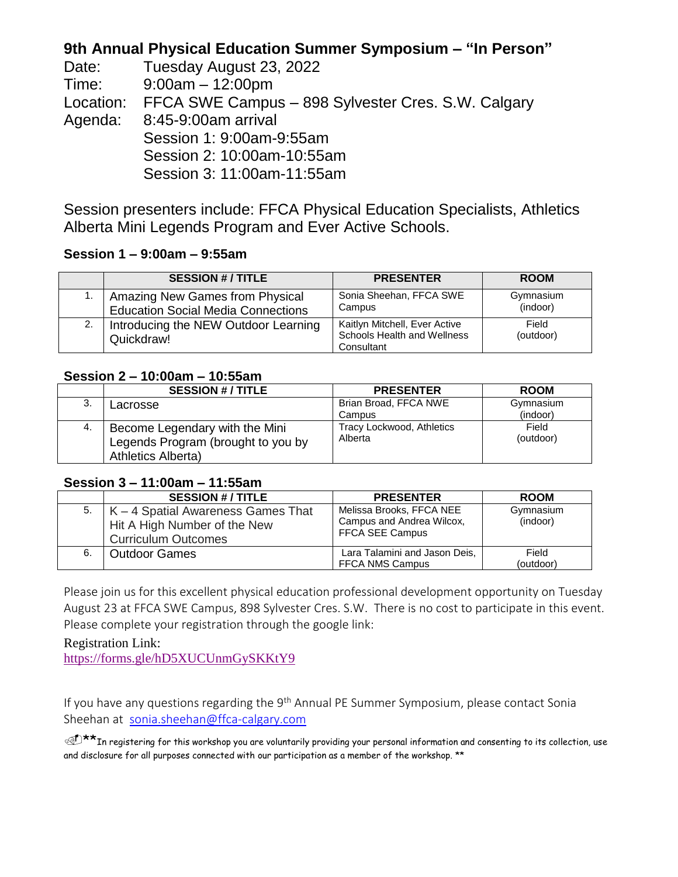### **9th Annual Physical Education Summer Symposium – "In Person"**

| Date:   | Tuesday August 23, 2022                                      |
|---------|--------------------------------------------------------------|
| Time:   | $9:00am - 12:00pm$                                           |
|         | Location: FFCA SWE Campus - 898 Sylvester Cres. S.W. Calgary |
| Agenda: | 8:45-9:00am arrival                                          |
|         | Session 1: 9:00am-9:55am                                     |
|         | Session 2: 10:00am-10:55am                                   |
|         | Session 3: 11:00am-11:55am                                   |

Session presenters include: FFCA Physical Education Specialists, Athletics Alberta Mini Legends Program and Ever Active Schools.

#### **Session 1 – 9:00am – 9:55am**

|    | <b>SESSION #/ TITLE</b>                                                      | <b>PRESENTER</b>                                                           | <b>ROOM</b>           |
|----|------------------------------------------------------------------------------|----------------------------------------------------------------------------|-----------------------|
|    | Amazing New Games from Physical<br><b>Education Social Media Connections</b> | Sonia Sheehan, FFCA SWE<br>Campus                                          | Gymnasium<br>(indoor) |
| 2. | Introducing the NEW Outdoor Learning<br>Quickdraw!                           | Kaitlyn Mitchell, Ever Active<br>Schools Health and Wellness<br>Consultant | Field<br>(outdoor)    |

#### **Session 2 – 10:00am – 10:55am**

|    | <b>SESSION #/TITLE</b>                                                                     | <b>PRESENTER</b>                     | <b>ROOM</b>        |
|----|--------------------------------------------------------------------------------------------|--------------------------------------|--------------------|
| 3. | Lacrosse                                                                                   | Brian Broad, FFCA NWE                | Gymnasium          |
|    |                                                                                            | Campus                               | (indoor)           |
| 4. | Become Legendary with the Mini<br>Legends Program (brought to you by<br>Athletics Alberta) | Tracy Lockwood, Athletics<br>Alberta | Field<br>(outdoor) |

#### **Session 3 – 11:00am – 11:55am**

|    | <b>SESSION #/TITLE</b>                                                                           | <b>PRESENTER</b>                                                         | <b>ROOM</b>           |
|----|--------------------------------------------------------------------------------------------------|--------------------------------------------------------------------------|-----------------------|
| 5. | K – 4 Spatial Awareness Games That<br>Hit A High Number of the New<br><b>Curriculum Outcomes</b> | Melissa Brooks, FFCA NEE<br>Campus and Andrea Wilcox,<br>FFCA SEE Campus | Gymnasium<br>(indoor) |
| 6. | <b>Outdoor Games</b>                                                                             | Lara Talamini and Jason Deis,<br>FFCA NMS Campus                         | Field<br>(outdoor)    |

Please join us for this excellent physical education professional development opportunity on Tuesday August 23 at FFCA SWE Campus, 898 Sylvester Cres. S.W. There is no cost to participate in this event. Please complete your registration through the google link:

Registration Link: <https://forms.gle/hD5XUCUnmGySKKtY9>

If you have any questions regarding the 9<sup>th</sup> Annual PE Summer Symposium, please contact Sonia Sheehan at [sonia.sheehan@ffca-calgary.com](mailto:sonia.sheehan@ffca-calgary.com)

 $\mathbb{C}^{\uparrow\star\star}$ In registering for this workshop you are voluntarily providing your personal information and consenting to its collection, use and disclosure for all purposes connected with our participation as a member of the workshop. \*\*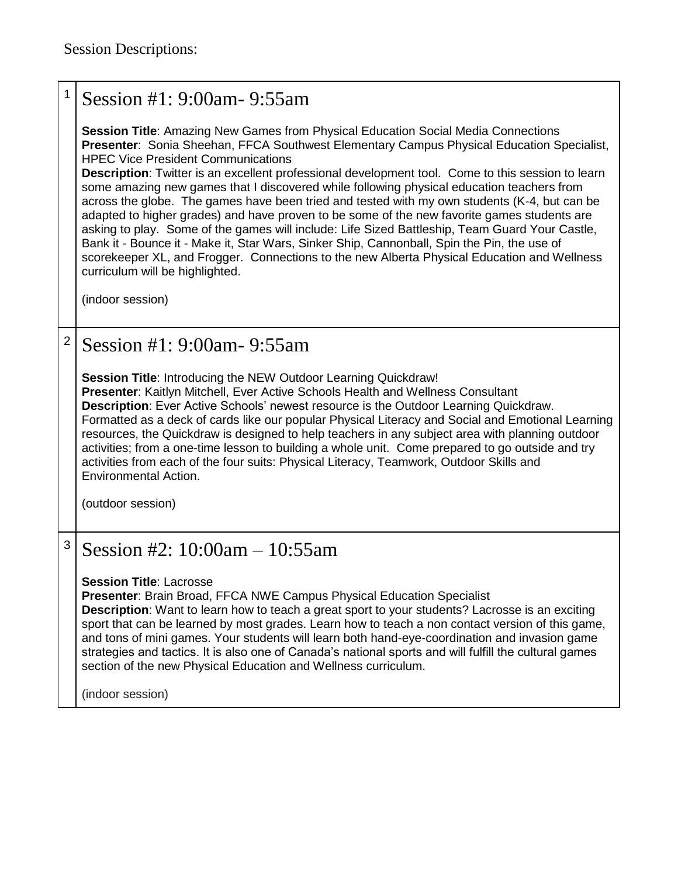# Session #1: 9:00am- 9:55am

**Session Title**: Amazing New Games from Physical Education Social Media Connections **Presenter**: Sonia Sheehan, FFCA Southwest Elementary Campus Physical Education Specialist, HPEC Vice President Communications

**Description**: Twitter is an excellent professional development tool. Come to this session to learn some amazing new games that I discovered while following physical education teachers from across the globe. The games have been tried and tested with my own students (K-4, but can be adapted to higher grades) and have proven to be some of the new favorite games students are asking to play. Some of the games will include: Life Sized Battleship, Team Guard Your Castle, Bank it - Bounce it - Make it, Star Wars, Sinker Ship, Cannonball, Spin the Pin, the use of scorekeeper XL, and Frogger. Connections to the new Alberta Physical Education and Wellness curriculum will be highlighted.

(indoor session)

# $2$  Session #1: 9:00am - 9:55am

**Session Title**: Introducing the NEW Outdoor Learning Quickdraw! **Presenter**: Kaitlyn Mitchell, Ever Active Schools Health and Wellness Consultant **Description**: Ever Active Schools' newest resource is the Outdoor Learning Quickdraw. Formatted as a deck of cards like our popular Physical Literacy and Social and Emotional Learning resources, the Quickdraw is designed to help teachers in any subject area with planning outdoor activities; from a one-time lesson to building a whole unit. Come prepared to go outside and try activities from each of the four suits: Physical Literacy, Teamwork, Outdoor Skills and Environmental Action.

(outdoor session)

## $3$  Session #2: 10:00am – 10:55am

**Session Title**: Lacrosse

**Presenter**: Brain Broad, FFCA NWE Campus Physical Education Specialist

**Description**: Want to learn how to teach a great sport to your students? Lacrosse is an exciting sport that can be learned by most grades. Learn how to teach a non contact version of this game, and tons of mini games. Your students will learn both hand-eye-coordination and invasion game strategies and tactics. It is also one of Canada's national sports and will fulfill the cultural games section of the new Physical Education and Wellness curriculum.

(indoor session)